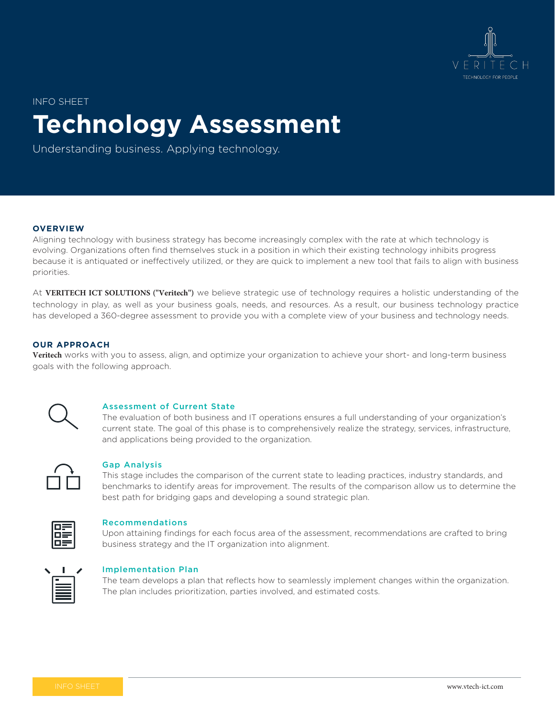

INFO SHEET

# **Technology Assessment**

Understanding business. Applying technology.

#### **OVERVIEW**

Aligning technology with business strategy has become increasingly complex with the rate at which technology is evolving. Organizations often find themselves stuck in a position in which their existing technology inhibits progress because it is antiquated or ineffectively utilized, or they are quick to implement a new tool that fails to align with business priorities.

At **VERITECH ICT SOLUTIONS ("Veritech")** we believe strategic use of technology requires a holistic understanding of the technology in play, as well as your business goals, needs, and resources. As a result, our business technology practice has developed a 360-degree assessment to provide you with a complete view of your business and technology needs.

### **OUR APPROACH**

**Veritech** works with you to assess, align, and optimize your organization to achieve your short- and long-term business goals with the following approach.



#### Assessment of Current State

The evaluation of both business and IT operations ensures a full understanding of your organization's current state. The goal of this phase is to comprehensively realize the strategy, services, infrastructure, and applications being provided to the organization.



#### Gap Analysis

This stage includes the comparison of the current state to leading practices, industry standards, and benchmarks to identify areas for improvement. The results of the comparison allow us to determine the best path for bridging gaps and developing a sound strategic plan.



#### Recommendations

Upon attaining findings for each focus area of the assessment, recommendations are crafted to bring business strategy and the IT organization into alignment.



#### Implementation Plan

The team develops a plan that reflects how to seamlessly implement changes within the organization. The plan includes prioritization, parties involved, and estimated costs.